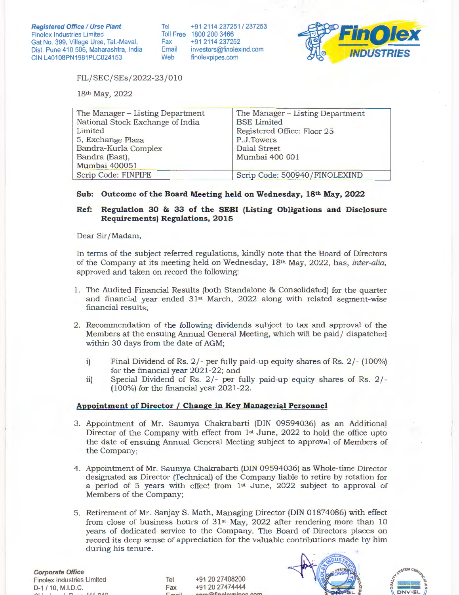Tel Toll Free 1800 200 3466 Fax Email Web +91 2114 237251 I 237253 +91 2114 237252 investors@finolexind.com finolexpipes.com



FIL/ SEC/ SEs/ 2022-23/010

18th May, 2022

| The Manager - Listing Department | The Manager - Listing Department |
|----------------------------------|----------------------------------|
| National Stock Exchange of India | <b>BSE</b> Limited               |
| Limited                          | Registered Office: Floor 25      |
| 5, Exchange Plaza                | P.J.Towers                       |
| Bandra-Kurla Complex             | Dalal Street                     |
| Bandra (East),                   | Mumbai 400 001                   |
| Mumbai 400051                    |                                  |
| Scrip Code: FINPIPE              | Scrip Code: 500940/FINOLEXIND    |

# **Sub: Outcome of the Board Meeting held on Wednesday, 18th May, 2022**

# **Ref: Regulation 30 & 33 of the SEBI (Listing Obligations and Disclosure Requirements) Regulations, 2015**

Dear Sir/ Madam,

In terms of the subject referred regulations, kindly note that the Board of Directors of the Company at its meeting held on Wednesday, 18th May, 2022, has, *inter-alia,*  approved and taken on record the following:

- 1. The Audited Financial Results (both Standalone & Consolidated) for the quarter and financial year ended  $31<sup>st</sup>$  March, 2022 along with related segment-wise financial results;
- 2. Recommendation of the following dividends subject to tax and approval of the Members at the ensuing Annual General Meeting, which will be paid/ dispatched within 30 days from the date of AGM;
	- i) Final Dividend of Rs. 2/- per fully paid-up equity shares of Rs. 2/- (100%) for the financial year 2021-22; and
	- ii) Special Dividend of Rs. 2/- per fully paid-up equity shares of Rs. 2/- (100%) for the financial year 2021-22.

# **Appointment of Director I Change in Key Managerial Personnel**

- 3. Appointment of Mr. Saumya Chakrabarti (DIN 09594036) as an Additional Director of the Company with effect from 1st June, 2022 to hold the office upto the date of ensuing Annual General Meeting subject to approval of Members of the Company;
- 4 . Appointment of Mr. Saumya Chakrabarti (DIN 09594036) as Whole-time Director designated as Director (Technical) of the Company liable to retire by rotation for a period of 5 years with effect from  $1<sup>st</sup>$  June, 2022 subject to approval of Members of the Company;
- 5. Retirement of Mr. Sanjay S. Math, Managing Director (DIN 01874086) with effect from close of business hours of  $31<sup>st</sup>$  May, 2022 after rendering more than 10 years of dedicated service to the Company. The Board of Directors places on record its deep sense of appreciation for the valuable contributions made by him during his tenure.

**Corporate Office**  Finolex Industries Limited D-1 / 10, M.l.D.C. **If"'\ - -** *AAA l'\Af\* 

Tel Fax

+91 20 27408200 +91 20 27474444 GAFINALAY



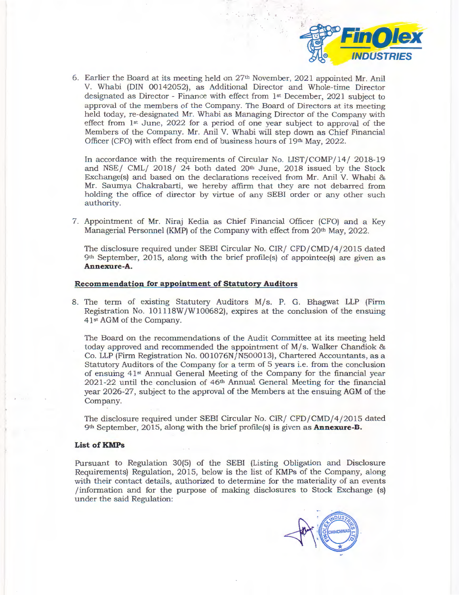

6. Earlier the Board at its meeting held on  $27<sup>th</sup>$  November, 2021 appointed Mr. Anil V. Whabi (DIN 00142052), as Additional Director and Whole-time Director designated as Director - Finance with effect from Ist December, 2021 subject to approval of the members of the Company. The Board of Directors at its meeting held today, re-designated Mr. Whabi as Managing Director of the Company with effect from Ist June, 2022 for a period of one year subject to approval of the Members of the Company. Mr. Anil V. Whabi will step down as Chief Financial Officer (CFO) with effect from end of business hours of 19th May, 2022.

In accordance with the requirements of Circular No. LIST/COMP/14/ 2018-19 and NSE/ CML/  $2018/24$  both dated  $20<sup>th</sup>$  June,  $2018$  issued by the Stock Exchange(s) and based on the declarations received from Mr. Anil V. Whabi & Mr. Saumya Chakrabarti, we hereby affirm that they are not debarred from holding the office of director by virtue of any SEBI order or any other such authority.

7. Appointment of Mr. Niraj Kedia as Chief Financial Officer (CFO) and a Key Managerial Personnel (KMP) of the Company with effect from  $20<sup>th</sup>$  May, 2022.

The disclosure required under SEBI Circular No. CIR/ CFD/CMD/4/2015 dated 9th September, 2015, along with the brief profile(s) of appointee(s) are given as **Annexure-A.** 

#### **Recommendation for appointment of Statutory Auditors**

8. The term of existing Statutory Auditors M/s. P. G. Bhagwat LLP (Firm Registration No. 101118W /W100682), expires at the conclusion of the ensuing 4Ist AGM of the Company.

The Board on the recommendations of the Audit Committee at its meeting held today approved and recommended the appointment of M/s. Walker Chandiok & Co. LLP (Firm Registration No. 001076N/N500013), Chartered Accountants, as a Statutory Auditors of the Company for a term of 5 years i.e. from the conclusion of ensuing 41<sup>st</sup> Annual General Meeting of the Company for the financial year  $2021-22$  until the conclusion of  $46<sup>th</sup>$  Annual General Meeting for the financial year 2026-27, subject to the approval of the Members at the ensuing AGM of the Company.

The disclosure required under SEBI Circular No. CIR/ CFD/CMD/4/2015 dated 9th September, 2015, along with the brief profile(s) is given as **Annexure-B.** 

### List of **KMPs**

Pursuant to Regulation 30(5) of the SEBI (Listing Obligation and Disclosure Requirements) Regulation, 2015, below is the list of KMPs of the Company, along with their contact details, authorized to determine for the materiality of an events /information and for the purpose of making disclosures to Stock Exchange (s) under the said Regulation:

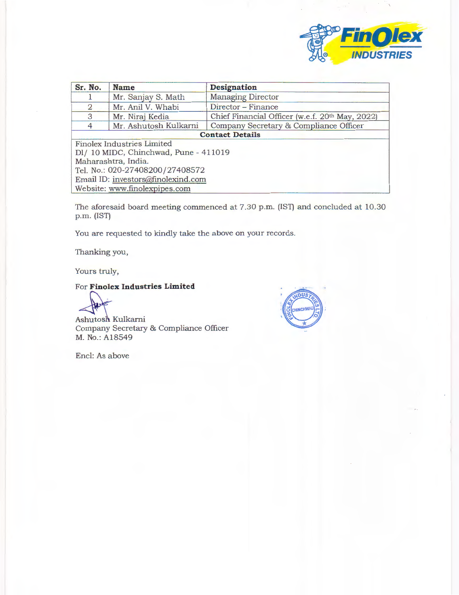

| Sr. No.                               | <b>Name</b>           | Designation                                     |
|---------------------------------------|-----------------------|-------------------------------------------------|
|                                       | Mr. Sanjay S. Math    | <b>Managing Director</b>                        |
| $\overline{2}$                        | Mr. Anil V. Whabi     | Director - Finance                              |
| 3                                     | Mr. Niraj Kedia       | Chief Financial Officer (w.e.f. 20th May, 2022) |
| $\overline{4}$                        | Mr. Ashutosh Kulkarni | Company Secretary & Compliance Officer          |
| <b>Contact Details</b>                |                       |                                                 |
| <b>Finolex Industries Limited</b>     |                       |                                                 |
| Dl/ 10 MIDC, Chinchwad, Pune - 411019 |                       |                                                 |
| Maharashtra, India.                   |                       |                                                 |
| Tel. No.: 020-27408200/27408572       |                       |                                                 |
| Email ID: investors@finolexind.com    |                       |                                                 |
| Website: www.finolexpipes.com         |                       |                                                 |

The aforesaid board meeting commenced at 7.30 p.m. (IST) and concluded at 10.30 p.m. (IST)

You are requested to kindly take the above on your records.

Thanking you,

Yours truly,

# For **Finolex Industries Limited**

Ashutosh Kulkarni Company Secretary & Compliance Officer M. No.: A18549

Encl: As above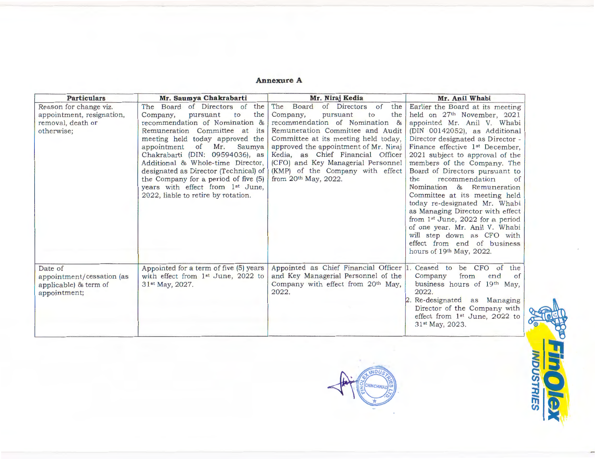#### **Annexure A**

| <b>Particulars</b>                                                                     | Mr. Saumya Chakrabarti                                                                                                                                                                                                                                                                                                                                                                                                                                            | Mr. Niraj Kedia                                                                                                                                                                                                                                                                                                                                                          | Mr. Anil Whabi                                                                                                                                                                                                                                                                                                                                                                                                                                                                                                                                                                                                                                                                           |
|----------------------------------------------------------------------------------------|-------------------------------------------------------------------------------------------------------------------------------------------------------------------------------------------------------------------------------------------------------------------------------------------------------------------------------------------------------------------------------------------------------------------------------------------------------------------|--------------------------------------------------------------------------------------------------------------------------------------------------------------------------------------------------------------------------------------------------------------------------------------------------------------------------------------------------------------------------|------------------------------------------------------------------------------------------------------------------------------------------------------------------------------------------------------------------------------------------------------------------------------------------------------------------------------------------------------------------------------------------------------------------------------------------------------------------------------------------------------------------------------------------------------------------------------------------------------------------------------------------------------------------------------------------|
| Reason for change viz.<br>appointment, resignation,<br>removal, death or<br>otherwise; | The Board of Directors of<br>the<br>the<br>pursuant<br>to<br>Company,<br>recommendation of Nomination &<br>Remuneration Committee at its<br>meeting held today approved the<br>of<br>Mr.<br>Saumya<br>appointment<br>Chakrabarti (DIN: 09594036), as<br>Additional & Whole-time Director,<br>designated as Director (Technical) of<br>the Company for a period of five (5)<br>years with effect from 1 <sup>st</sup> June,<br>2022, liable to retire by rotation. | The Board<br>of Directors of<br>the<br>the<br>Company,<br>pursuant<br>to<br>recommendation of Nomination &<br>Remuneration Committee and Audit<br>Committee at its meeting held today,<br>approved the appointment of Mr. Niraj<br>Kedia, as Chief Financial Officer<br>(CFO) and Key Managerial Personnel<br>(KMP) of the Company with effect<br>from $20th$ May, 2022. | Earlier the Board at its meeting<br>held on 27 <sup>th</sup> November, 2021<br>appointed Mr. Anil V. Whabi<br>(DIN 00142052), as Additional<br>Director designated as Director -<br>Finance effective 1 <sup>st</sup> December,<br>2021 subject to approval of the<br>members of the Company. The<br>Board of Directors pursuant to<br>recommendation<br>the<br>$\sigma$ f<br>Nomination & Remuneration<br>Committee at its meeting held<br>today re-designated Mr. Whabi<br>as Managing Director with effect<br>from 1 <sup>st</sup> June, 2022 for a period<br>of one year. Mr. Anil V. Whabi<br>will step down as CFO with<br>effect from end of business<br>hours of 19th May, 2022. |
| Date of<br>appointment/cessation (as<br>applicable) & term of<br>appointment;          | Appointed for a term of five (5) years<br>with effect from 1 <sup>st</sup> June, 2022 to<br>31 <sup>st</sup> May, 2027.                                                                                                                                                                                                                                                                                                                                           | Appointed as Chief Financial Officer 1.<br>and Key Managerial Personnel of the<br>Company with effect from 20th May,<br>2022.                                                                                                                                                                                                                                            | Ceased to be CFO of<br>the<br>from<br>Company<br>end<br>of<br>business hours of 19th May,<br>2022.<br>2. Re-designated as Managing<br>Director of the Company with<br>effect from $1st$ June, 2022 to<br>31 <sup>st</sup> May, 2023.                                                                                                                                                                                                                                                                                                                                                                                                                                                     |

NDU

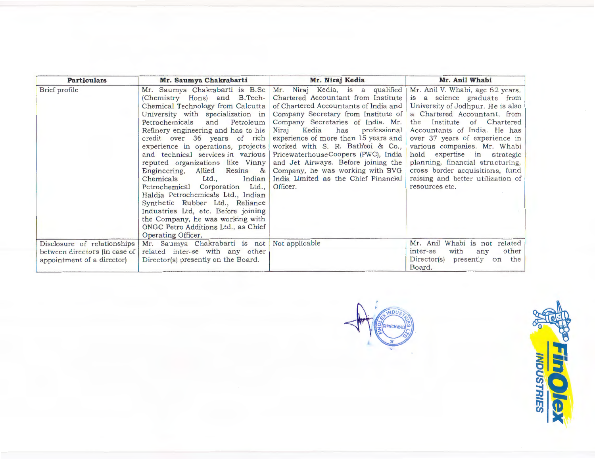| <b>Particulars</b>                                                                         | Mr. Saumya Chakrabarti                                                                                                                                                                                                                                                                                                                                                                                                                                                                                                                                                                                                                                                                       | Mr. Niraj Kedia                                                                                                                                                                                                                                                                                                                                                                                                                                                                         | Mr. Anil Whabi                                                                                                                                                                                                                                                                                                                                                                                                                         |
|--------------------------------------------------------------------------------------------|----------------------------------------------------------------------------------------------------------------------------------------------------------------------------------------------------------------------------------------------------------------------------------------------------------------------------------------------------------------------------------------------------------------------------------------------------------------------------------------------------------------------------------------------------------------------------------------------------------------------------------------------------------------------------------------------|-----------------------------------------------------------------------------------------------------------------------------------------------------------------------------------------------------------------------------------------------------------------------------------------------------------------------------------------------------------------------------------------------------------------------------------------------------------------------------------------|----------------------------------------------------------------------------------------------------------------------------------------------------------------------------------------------------------------------------------------------------------------------------------------------------------------------------------------------------------------------------------------------------------------------------------------|
| Brief profile                                                                              | Mr. Saumya Chakrabarti is B.Sc<br>(Chemistry Hons) and B.Tech-<br>Chemical Technology from Calcutta<br>University with specialization in<br>Petrochemicals<br>and<br>Petroleum<br>Refinery engineering and has to his<br>credit over 36 years of rich<br>experience in operations, projects<br>and technical services in various<br>reputed organizations like Vinny<br>Engineering,<br>Allied<br>Resins &<br>Indian<br>Chemicals<br>Ltd<br>Petrochemical Corporation Ltd.,<br>Haldia Petrochemicals Ltd., Indian<br>Synthetic Rubber Ltd., Reliance<br>Industries Ltd, etc. Before joining<br>the Company, he was working with<br>ONGC Petro Additions Ltd., as Chief<br>Operating Officer. | Mr. Niraj Kedia, is a qualified<br>Chartered Accountant from Institute<br>of Chartered Accountants of India and<br>Company Secretary from Institute of<br>Company Secretaries of India. Mr.<br>Kedia<br>has<br>professional<br>Niraj<br>experience of more than 15 years and<br>worked with S. R. Batliboi & Co.,<br>PricewaterhouseCoopers (PWC), India<br>and Jet Airways. Before joining the<br>Company, he was working with BVG<br>India Limited as the Chief Financial<br>Officer. | Mr. Anil V. Whabi, age 62 years,<br>is a science graduate from<br>University of Jodhpur. He is also<br>a Chartered Accountant, from<br>Institute<br>of Chartered<br>the<br>Accountants of India. He has<br>over 37 years of experience in<br>various companies. Mr. Whabi<br>hold expertise in strategic<br>planning, financial structuring,<br>cross border acquisitions, fund<br>raising and better utilization of<br>resources etc. |
| Disclosure of relationships<br>between directors (in case of<br>appointment of a director) | Mr. Saumya Chakrabarti is not<br>related inter-se with any other<br>Director(s) presently on the Board.                                                                                                                                                                                                                                                                                                                                                                                                                                                                                                                                                                                      | Not applicable                                                                                                                                                                                                                                                                                                                                                                                                                                                                          | Whabi is not<br>Mr. Anil<br>related<br>other<br>with<br>inter-se<br>any<br>Director(s)<br>presently on<br>the<br>Board.                                                                                                                                                                                                                                                                                                                |

**INDUS HINCHWAD**